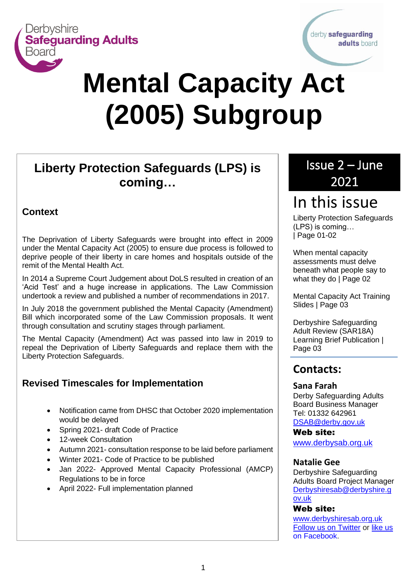

derby safeguarding adults board

# **Mental Capacity Act (2005) Subgroup**

# **Liberty Protection Safeguards (LPS) is coming…** <u>Newsletter</u><br>Newsletter

#### **Context**

The Deprivation of Liberty Safeguards were brought into effect in 2009 under the Mental Capacity Act (2005) to ensure due process is followed to deprive people of their liberty in care homes and hospitals outside of the remit of the Mental Health Act.

In 2014 a Supreme Court Judgement about DoLS resulted in creation of an 'Acid Test' and a huge increase in applications. The Law Commission undertook a review and published a number of recommendations in 2017.

In July 2018 the government published the Mental Capacity (Amendment) Bill which incorporated some of the Law Commission proposals. It went through consultation and scrutiny stages through parliament.

The Mental Capacity (Amendment) Act was passed into law in 2019 to repeal the Deprivation of Liberty Safeguards and replace them with the Liberty Protection Safeguards.

### **Revised Timescales for Implementation**

- Notification came from DHSC that October 2020 implementation would be delayed
- Spring 2021- draft Code of Practice
- 12-week Consultation
- Autumn 2021- consultation response to be laid before parliament
- Winter 2021- Code of Practice to be published
- Jan 2022- Approved Mental Capacity Professional (AMCP) Regulations to be in force
- April 2022- Full implementation planned

# Issue 2 – June 2021

# In this issue

Liberty Protection Safeguards (LPS) is coming… | Page 01-02

When mental capacity assessments must delve beneath what people say to what they do | Page 02

Mental Capacity Act Training Slides | Page 03

Derbyshire Safeguarding Adult Review (SAR18A) Learning Brief Publication | Page 03

## **Contacts:**

#### **Sana Farah**

Derby Safeguarding Adults Board Business Manager Tel: 01332 642961 [DSAB@derby.gov.uk](mailto:DSAB@derby.gov.uk)

Web site:

[www.derbysab.org.uk](http://www.derbysab.org.uk/)

#### **Natalie Gee**

Derbyshire Safeguarding Adults Board Project Manager [Derbyshiresab@derbyshire.g](mailto:Derbyshiresab@derbyshire.gov.uk) [ov.uk](mailto:Derbyshiresab@derbyshire.gov.uk)

#### Web site:

[www.derbyshiresab.org.uk](http://www.derbyshiresab.org.uk/) [Follow us on Twitter](https://twitter.com/derbyshiresab) or [like us](https://www.facebook.com/DerbyshireSAB)  [on Facebook.](https://www.facebook.com/DerbyshireSAB)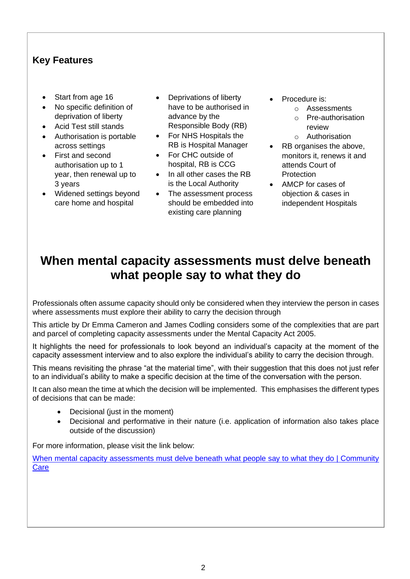#### **Key Features**

- Start from age 16
- No specific definition of deprivation of liberty
- Acid Test still stands
- Authorisation is portable across settings
- First and second authorisation up to 1 year, then renewal up to 3 years
- Widened settings beyond care home and hospital
- Deprivations of liberty have to be authorised in advance by the Responsible Body (RB)
- For NHS Hospitals the RB is Hospital Manager
- For CHC outside of hospital, RB is CCG
- In all other cases the RB is the Local Authority
- The assessment process should be embedded into existing care planning
- Procedure is:
	- o Assessments
	- o Pre-authorisation review
	- o Authorisation
- RB organises the above, monitors it, renews it and attends Court of Protection
- AMCP for cases of objection & cases in independent Hospitals

# **When mental capacity assessments must delve beneath what people say to what they do**

Professionals often assume capacity should only be considered when they interview the person in cases where assessments must explore their ability to carry the decision through

This article by Dr Emma Cameron and James Codling considers some of the complexities that are part and parcel of completing capacity assessments under the Mental Capacity Act 2005.

It highlights the need for professionals to look beyond an individual's capacity at the moment of the capacity assessment interview and to also explore the individual's ability to carry the decision through.

This means revisiting the phrase "at the material time", with their suggestion that this does not just refer to an individual's ability to make a specific decision at the time of the conversation with the person.

It can also mean the time at which the decision will be implemented. This emphasises the different types of decisions that can be made:

- Decisional (just in the moment)
- Decisional and performative in their nature (i.e. application of information also takes place outside of the discussion)

For more information, please visit the link below:

When mental capacity assessments must delve beneath what people say to what they do | Community **[Care](https://www.communitycare.co.uk/2020/10/28/mental-capacity-assessments-must-delve-beneath-people-say/)**